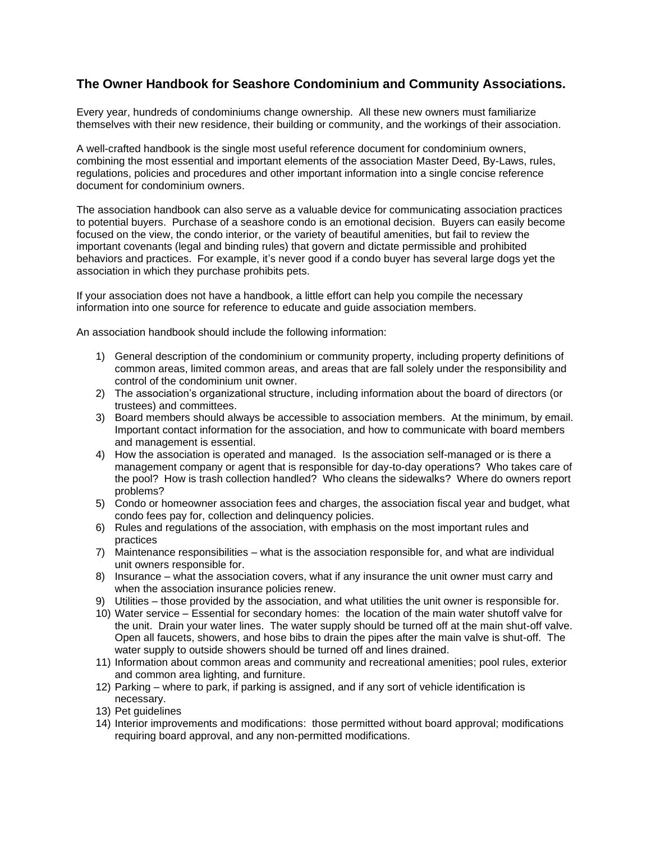## **The Owner Handbook for Seashore Condominium and Community Associations.**

Every year, hundreds of condominiums change ownership. All these new owners must familiarize themselves with their new residence, their building or community, and the workings of their association.

A well-crafted handbook is the single most useful reference document for condominium owners, combining the most essential and important elements of the association Master Deed, By-Laws, rules, regulations, policies and procedures and other important information into a single concise reference document for condominium owners.

The association handbook can also serve as a valuable device for communicating association practices to potential buyers. Purchase of a seashore condo is an emotional decision. Buyers can easily become focused on the view, the condo interior, or the variety of beautiful amenities, but fail to review the important covenants (legal and binding rules) that govern and dictate permissible and prohibited behaviors and practices. For example, it's never good if a condo buyer has several large dogs yet the association in which they purchase prohibits pets.

If your association does not have a handbook, a little effort can help you compile the necessary information into one source for reference to educate and guide association members.

An association handbook should include the following information:

- 1) General description of the condominium or community property, including property definitions of common areas, limited common areas, and areas that are fall solely under the responsibility and control of the condominium unit owner.
- 2) The association's organizational structure, including information about the board of directors (or trustees) and committees.
- 3) Board members should always be accessible to association members. At the minimum, by email. Important contact information for the association, and how to communicate with board members and management is essential.
- 4) How the association is operated and managed. Is the association self-managed or is there a management company or agent that is responsible for day-to-day operations? Who takes care of the pool? How is trash collection handled? Who cleans the sidewalks? Where do owners report problems?
- 5) Condo or homeowner association fees and charges, the association fiscal year and budget, what condo fees pay for, collection and delinquency policies.
- 6) Rules and regulations of the association, with emphasis on the most important rules and practices
- 7) Maintenance responsibilities what is the association responsible for, and what are individual unit owners responsible for.
- 8) Insurance what the association covers, what if any insurance the unit owner must carry and when the association insurance policies renew.
- 9) Utilities those provided by the association, and what utilities the unit owner is responsible for.
- 10) Water service Essential for secondary homes: the location of the main water shutoff valve for the unit. Drain your water lines. The water supply should be turned off at the main shut-off valve. Open all faucets, showers, and hose bibs to drain the pipes after the main valve is shut-off. The water supply to outside showers should be turned off and lines drained.
- 11) Information about common areas and community and recreational amenities; pool rules, exterior and common area lighting, and furniture.
- 12) Parking where to park, if parking is assigned, and if any sort of vehicle identification is necessary.
- 13) Pet guidelines
- 14) Interior improvements and modifications: those permitted without board approval; modifications requiring board approval, and any non-permitted modifications.